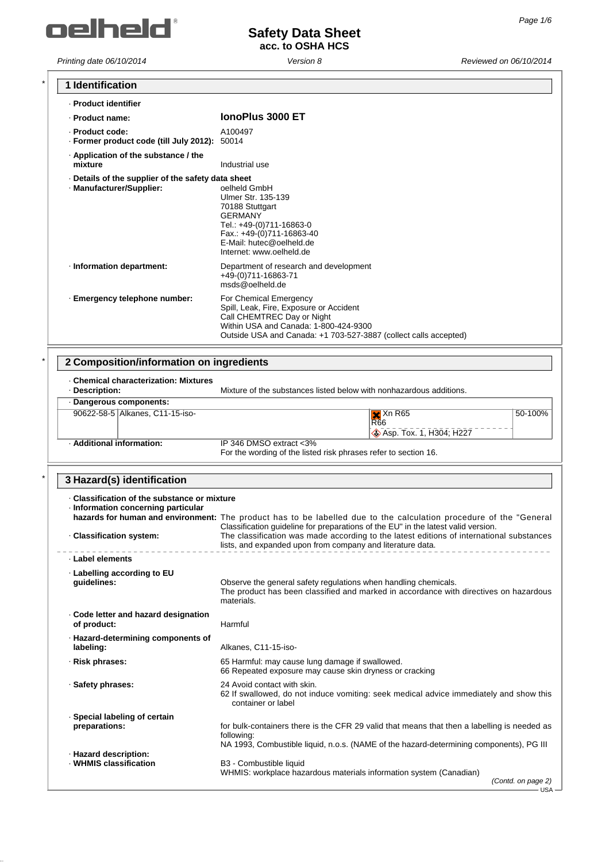

| 1 Identification                                                                  |                                                                                                                                                                                                              |
|-----------------------------------------------------------------------------------|--------------------------------------------------------------------------------------------------------------------------------------------------------------------------------------------------------------|
| · Product identifier                                                              |                                                                                                                                                                                                              |
| · Product name:                                                                   | IonoPlus 3000 ET                                                                                                                                                                                             |
| - Product code:<br>· Former product code (till July 2012): 50014                  | A100497                                                                                                                                                                                                      |
| Application of the substance / the<br>mixture                                     | Industrial use                                                                                                                                                                                               |
| Details of the supplier of the safety data sheet<br>· Manufacturer/Supplier:      | oelheld GmbH<br>Ulmer Str. 135-139<br>70188 Stuttgart<br><b>GERMANY</b><br>Tel.: +49-(0)711-16863-0<br>Fax.: +49-(0)711-16863-40<br>E-Mail: hutec@oelheld.de<br>Internet: www.oelheld.de                     |
| · Information department:                                                         | Department of research and development<br>+49-(0)711-16863-71<br>msds@oelheld.de                                                                                                                             |
| · Emergency telephone number:                                                     | For Chemical Emergency<br>Spill, Leak, Fire, Exposure or Accident<br>Call CHEMTREC Day or Night<br>Within USA and Canada: 1-800-424-9300<br>Outside USA and Canada: +1 703-527-3887 (collect calls accepted) |
| 2 Composition/information on ingredients                                          |                                                                                                                                                                                                              |
| <b>Chemical characterization: Mixtures</b><br>· Description:                      | Mixture of the substances listed below with nonhazardous additions.                                                                                                                                          |
| · Dangerous components:                                                           |                                                                                                                                                                                                              |
| 90622-58-5 Alkanes, C11-15-iso-                                                   | $X$ Xn R65<br>50-100%<br><b>R66</b><br>Asp. Tox. 1, H304; H227                                                                                                                                               |
| · Additional information:                                                         | IP 346 DMSO extract <3%<br>For the wording of the listed risk phrases refer to section 16.                                                                                                                   |
| 3 Hazard(s) identification                                                        |                                                                                                                                                                                                              |
| Classification of the substance or mixture<br>· Information concerning particular | hazards for human and environment: The product has to be labelled due to the calculation procedure of the "General<br>Classification guideline for preparations of the EU" in the latest valid version.      |
| · Classification system:                                                          | The classification was made according to the latest editions of international substances<br>lists, and expanded upon from company and literature data.                                                       |
| · Label elements                                                                  |                                                                                                                                                                                                              |
| Labelling according to EU<br>quidelines:                                          | Observe the general safety regulations when handling chemicals.<br>The product has been classified and marked in accordance with directives on hazardous<br>materials.                                       |
| Code letter and hazard designation<br>of product:                                 | Harmful                                                                                                                                                                                                      |
| · Hazard-determining components of<br>labeling:                                   | Alkanes, C11-15-iso-                                                                                                                                                                                         |
| · Risk phrases:                                                                   | 65 Harmful: may cause lung damage if swallowed.<br>66 Repeated exposure may cause skin dryness or cracking                                                                                                   |
| · Safety phrases:                                                                 | 24 Avoid contact with skin.<br>62 If swallowed, do not induce vomiting: seek medical advice immediately and show this<br>container or label                                                                  |
| · Special labeling of certain<br>preparations:                                    | for bulk-containers there is the CFR 29 valid that means that then a labelling is needed as<br>following:<br>NA 1993, Combustible liquid, n.o.s. (NAME of the hazard-determining components), PG III         |
| · Hazard description:<br>· WHMIS classification                                   | B3 - Combustible liquid<br>WHMIS: workplace hazardous materials information system (Canadian)<br>(Contd. on page 2)<br>– USA –                                                                               |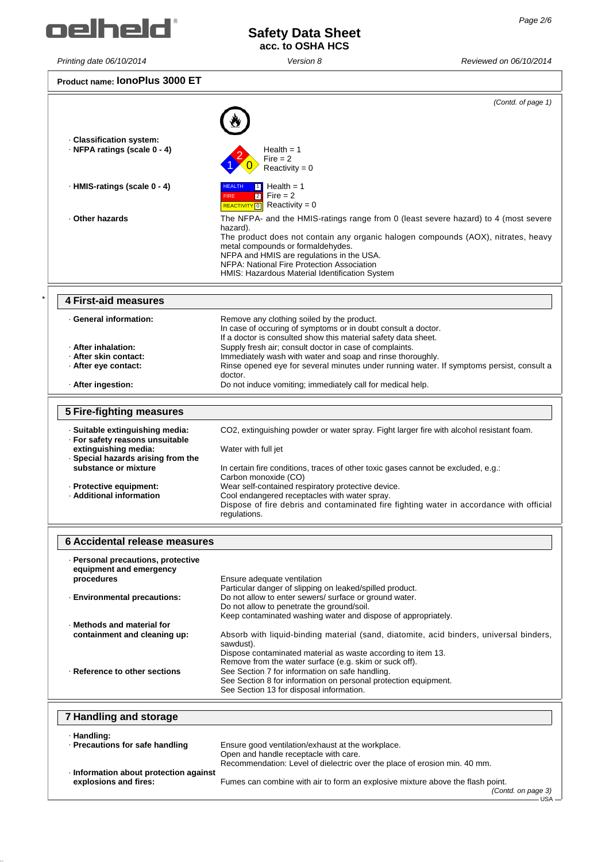

Г

**Product name: IonoPlus 3000 ET**

| Product name: IUITUF IUS JUUU L                                    |                                                                                                                       |
|--------------------------------------------------------------------|-----------------------------------------------------------------------------------------------------------------------|
|                                                                    | (Contd. of page 1)                                                                                                    |
|                                                                    |                                                                                                                       |
| Classification system:                                             |                                                                                                                       |
| NFPA ratings (scale 0 - 4)                                         | Health $= 1$                                                                                                          |
|                                                                    | Fire $= 2$<br>Reactivity = $0$                                                                                        |
|                                                                    |                                                                                                                       |
| · HMIS-ratings (scale 0 - 4)                                       | Health = $1$<br><b>HEALTH</b><br>$Fire = 2$<br>$\overline{2}$<br><b>FIRE</b>                                          |
|                                                                    | Reactivity = $0$<br><b>REACTIVITY</b> 0                                                                               |
| . Other hazards                                                    | The NFPA- and the HMIS-ratings range from 0 (least severe hazard) to 4 (most severe                                   |
|                                                                    | hazard).<br>The product does not contain any organic halogen compounds (AOX), nitrates, heavy                         |
|                                                                    | metal compounds or formaldehydes.                                                                                     |
|                                                                    | NFPA and HMIS are regulations in the USA.<br>NFPA: National Fire Protection Association                               |
|                                                                    | HMIS: Hazardous Material Identification System                                                                        |
|                                                                    |                                                                                                                       |
| <b>4 First-aid measures</b>                                        |                                                                                                                       |
| · General information:                                             | Remove any clothing soiled by the product.<br>In case of occuring of symptoms or in doubt consult a doctor.           |
|                                                                    | If a doctor is consulted show this material safety data sheet.                                                        |
| · After inhalation:<br>· After skin contact:                       | Supply fresh air; consult doctor in case of complaints.<br>Immediately wash with water and soap and rinse thoroughly. |
| · After eye contact:                                               | Rinse opened eye for several minutes under running water. If symptoms persist, consult a                              |
|                                                                    | doctor.                                                                                                               |
| · After ingestion:                                                 | Do not induce vomiting; immediately call for medical help.                                                            |
| <b>5 Fire-fighting measures</b>                                    |                                                                                                                       |
|                                                                    |                                                                                                                       |
| · Suitable extinguishing media:<br>· For safety reasons unsuitable | CO2, extinguishing powder or water spray. Fight larger fire with alcohol resistant foam.                              |
| extinguishing media:                                               | Water with full jet                                                                                                   |
| · Special hazards arising from the<br>substance or mixture         | In certain fire conditions, traces of other toxic gases cannot be excluded, e.g.:                                     |
|                                                                    | Carbon monoxide (CO)                                                                                                  |
| · Protective equipment:<br>· Additional information                | Wear self-contained respiratory protective device.<br>Cool endangered receptacles with water spray.                   |
|                                                                    | Dispose of fire debris and contaminated fire fighting water in accordance with official<br>regulations.               |
|                                                                    |                                                                                                                       |
| 6 Accidental release measures                                      |                                                                                                                       |
| · Personal precautions, protective                                 |                                                                                                                       |
| equipment and emergency                                            |                                                                                                                       |
| procedures                                                         | Ensure adequate ventilation<br>Particular danger of slipping on leaked/spilled product.                               |
| <b>Environmental precautions:</b>                                  | Do not allow to enter sewers/ surface or ground water.                                                                |
|                                                                    | Do not allow to penetrate the ground/soil.<br>Keep contaminated washing water and dispose of appropriately.           |
| Methods and material for                                           |                                                                                                                       |
| containment and cleaning up:                                       | Absorb with liquid-binding material (sand, diatomite, acid binders, universal binders,<br>sawdust).                   |
|                                                                    | Dispose contaminated material as waste according to item 13.                                                          |
| · Reference to other sections                                      | Remove from the water surface (e.g. skim or suck off).<br>See Section 7 for information on safe handling.             |
|                                                                    | See Section 8 for information on personal protection equipment.                                                       |
|                                                                    | See Section 13 for disposal information.                                                                              |
| <b>7 Handling and storage</b>                                      |                                                                                                                       |
|                                                                    |                                                                                                                       |
| · Handling:<br>· Precautions for safe handling                     | Ensure good ventilation/exhaust at the workplace.                                                                     |
|                                                                    | Open and handle receptacle with care.                                                                                 |
| · Information about protection against                             | Recommendation: Level of dielectric over the place of erosion min. 40 mm.                                             |
| explosions and fires:                                              | Fumes can combine with air to form an explosive mixture above the flash point.                                        |
|                                                                    | (Contd. on page 3)                                                                                                    |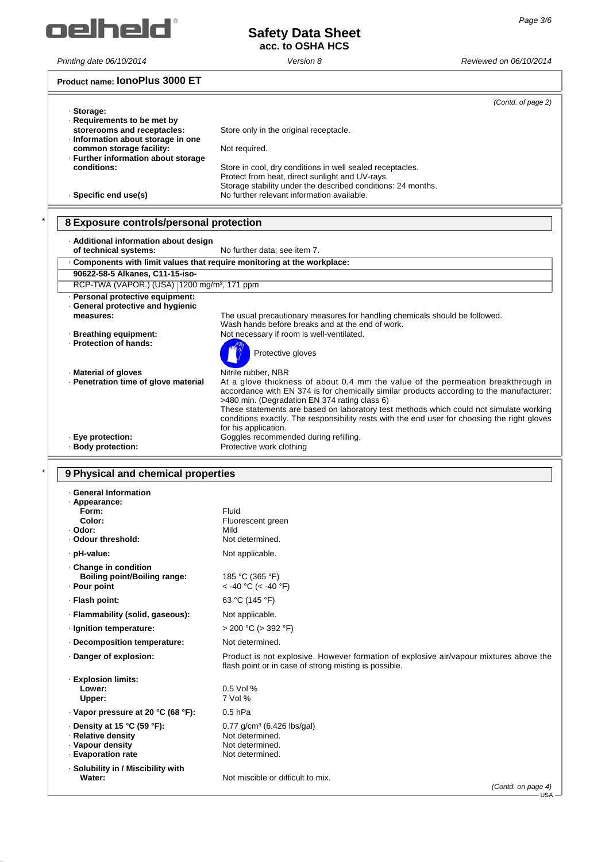

# **Safety Data Sheet acc. to OSHA HCS**

#### **Product name: IonoPlus 3000 ET**

| · Storage:                                                                                   |                                                                                                                                                                              | (Contd. of page 2) |
|----------------------------------------------------------------------------------------------|------------------------------------------------------------------------------------------------------------------------------------------------------------------------------|--------------------|
| Requirements to be met by<br>storerooms and receptacles:<br>Information about storage in one | Store only in the original receptacle.                                                                                                                                       |                    |
| common storage facility:<br>- Further information about storage                              | Not required.                                                                                                                                                                |                    |
| conditions:                                                                                  | Store in cool, dry conditions in well sealed receptacles.<br>Protect from heat, direct sunlight and UV-rays.<br>Storage stability under the described conditions: 24 months. |                    |
| · Specific end use(s)                                                                        | No further relevant information available.                                                                                                                                   |                    |

# \* **8 Exposure controls/personal protection**

| · Additional information about design<br>of technical systems:         | No further data: see item 7.                                                                                                                                                                                                                                                                                                                                                                                                                    |
|------------------------------------------------------------------------|-------------------------------------------------------------------------------------------------------------------------------------------------------------------------------------------------------------------------------------------------------------------------------------------------------------------------------------------------------------------------------------------------------------------------------------------------|
| Components with limit values that require monitoring at the workplace: |                                                                                                                                                                                                                                                                                                                                                                                                                                                 |
| 90622-58-5 Alkanes, C11-15-iso-                                        |                                                                                                                                                                                                                                                                                                                                                                                                                                                 |
| RCP-TWA (VAPOR.) (USA)   1200 mg/m <sup>3</sup> , 171 ppm              |                                                                                                                                                                                                                                                                                                                                                                                                                                                 |
| · Personal protective equipment:<br>General protective and hygienic    |                                                                                                                                                                                                                                                                                                                                                                                                                                                 |
| measures:                                                              | The usual precautionary measures for handling chemicals should be followed.<br>Wash hands before breaks and at the end of work.                                                                                                                                                                                                                                                                                                                 |
| · Breathing equipment:<br>- Protection of hands:                       | Not necessary if room is well-ventilated.<br>Protective gloves                                                                                                                                                                                                                                                                                                                                                                                  |
| · Material of gloves                                                   | Nitrile rubber, NBR                                                                                                                                                                                                                                                                                                                                                                                                                             |
| · Penetration time of glove material                                   | At a glove thickness of about 0,4 mm the value of the permeation breakthrough in<br>accordance with EN 374 is for chemically similar products according to the manufacturer:<br>>480 min. (Degradation EN 374 rating class 6)<br>These statements are based on laboratory test methods which could not simulate working<br>conditions exactly. The responsibility rests with the end user for choosing the right gloves<br>for his application. |
| · Eye protection:<br>· Body protection:                                | Goggles recommended during refilling.<br>Protective work clothing                                                                                                                                                                                                                                                                                                                                                                               |

### \* **9 Physical and chemical properties**

| · General Information<br>· Appearance:<br>Form:<br>Color:<br>· Odor:<br>. Odour threshold:        | Fluid<br>Fluorescent green<br>Mild<br>Not determined.                                                                                           |
|---------------------------------------------------------------------------------------------------|-------------------------------------------------------------------------------------------------------------------------------------------------|
| · pH-value:                                                                                       | Not applicable.                                                                                                                                 |
| Change in condition<br><b>Boiling point/Boiling range:</b><br>- Pour point                        | 185 °C (365 °F)<br>< -40 °C (< -40 °F)                                                                                                          |
| · Flash point:                                                                                    | 63 °C (145 °F)                                                                                                                                  |
| · Flammability (solid, gaseous):                                                                  | Not applicable.                                                                                                                                 |
| · Ignition temperature:                                                                           | $> 200$ °C ( $> 392$ °F)                                                                                                                        |
| Decomposition temperature:                                                                        | Not determined.                                                                                                                                 |
| Danger of explosion:                                                                              | Product is not explosive. However formation of explosive air/vapour mixtures above the<br>flash point or in case of strong misting is possible. |
| · Explosion limits:<br>Lower:<br>Upper:                                                           | 0.5 Vol %<br>7 Vol %                                                                                                                            |
| · Vapor pressure at 20 °C (68 °F):                                                                | $0.5$ hPa                                                                                                                                       |
| $\cdot$ Density at 15 °C (59 °F):<br>· Relative density<br>· Vapour density<br>- Evaporation rate | $0.77$ g/cm <sup>3</sup> (6.426 lbs/gal)<br>Not determined.<br>Not determined.<br>Not determined.                                               |
| · Solubility in / Miscibility with<br>Water:                                                      | Not miscible or difficult to mix.<br>(Contd. on page 4)                                                                                         |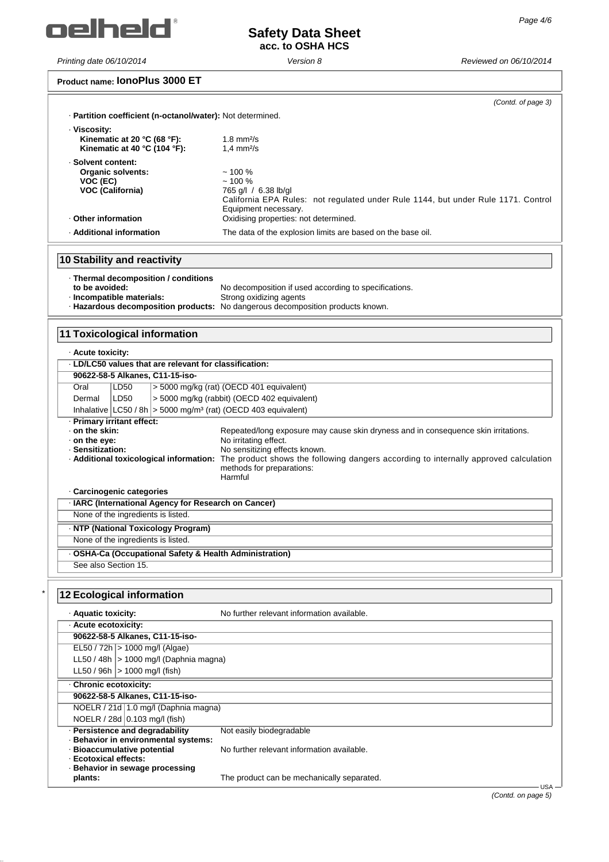

#### **Product name: IonoPlus 3000 ET**

|                                                                               | (Contd. of page 3)                                                                                                                                            |
|-------------------------------------------------------------------------------|---------------------------------------------------------------------------------------------------------------------------------------------------------------|
| · Partition coefficient (n-octanol/water): Not determined.                    |                                                                                                                                                               |
| · Viscosity:<br>Kinematic at 20 $^{\circ}$ C (68 $^{\circ}$ F):               | $1.8$ mm $2/s$                                                                                                                                                |
| Kinematic at 40 $^{\circ}$ C (104 $^{\circ}$ F):                              | $1.4$ mm $2/s$                                                                                                                                                |
| · Solvent content:                                                            |                                                                                                                                                               |
| <b>Organic solvents:</b>                                                      | ~100%<br>~100%                                                                                                                                                |
| VOC (EC)<br><b>VOC (California)</b>                                           | 765 g/l / 6.38 lb/gl                                                                                                                                          |
|                                                                               | California EPA Rules: not regulated under Rule 1144, but under Rule 1171. Control                                                                             |
| Other information                                                             | Equipment necessary.<br>Oxidising properties: not determined.                                                                                                 |
|                                                                               |                                                                                                                                                               |
| · Additional information                                                      | The data of the explosion limits are based on the base oil.                                                                                                   |
| 10 Stability and reactivity                                                   |                                                                                                                                                               |
| · Thermal decomposition / conditions                                          |                                                                                                                                                               |
| to be avoided:                                                                | No decomposition if used according to specifications.                                                                                                         |
| · Incompatible materials:                                                     | Strong oxidizing agents<br>- Hazardous decomposition products: No dangerous decomposition products known.                                                     |
|                                                                               |                                                                                                                                                               |
| <b>11 Toxicological information</b>                                           |                                                                                                                                                               |
|                                                                               |                                                                                                                                                               |
| · Acute toxicity:<br>· LD/LC50 values that are relevant for classification:   |                                                                                                                                                               |
| 90622-58-5 Alkanes, C11-15-iso-                                               |                                                                                                                                                               |
| Oral<br>LD50                                                                  | > 5000 mg/kg (rat) (OECD 401 equivalent)                                                                                                                      |
| LD50<br>Dermal                                                                | > 5000 mg/kg (rabbit) (OECD 402 equivalent)                                                                                                                   |
| Inhalative $ LC50 / 8h $ > 5000 mg/m <sup>3</sup> (rat) (OECD 403 equivalent) |                                                                                                                                                               |
| · Primary irritant effect:                                                    |                                                                                                                                                               |
| ⋅ on the skin:                                                                | Repeated/long exposure may cause skin dryness and in consequence skin irritations.                                                                            |
| $\cdot$ on the eve:                                                           | No irritating effect.                                                                                                                                         |
| · Sensitization:                                                              | No sensitizing effects known.<br>. Additional toxicological information: The product shows the following dangers according to internally approved calculation |
|                                                                               | methods for preparations:                                                                                                                                     |
|                                                                               | Harmful                                                                                                                                                       |
| · Carcinogenic categories                                                     |                                                                                                                                                               |
| · IARC (International Agency for Research on Cancer)                          |                                                                                                                                                               |
| None of the ingredients is listed.                                            |                                                                                                                                                               |
| · NTP (National Toxicology Program)                                           |                                                                                                                                                               |
| None of the ingredients is listed.                                            |                                                                                                                                                               |
| - OSHA-Ca (Occupational Safety & Health Administration)                       |                                                                                                                                                               |
| See also Section 15.                                                          |                                                                                                                                                               |
| <b>12 Ecological information</b>                                              |                                                                                                                                                               |
| · Aquatic toxicity:                                                           | No further relevant information available.                                                                                                                    |
| · Acute ecotoxicity:                                                          |                                                                                                                                                               |
| 90622-58-5 Alkanes, C11-15-iso-                                               |                                                                                                                                                               |
| EL50 / 72h   > 1000 mg/l (Algae)                                              |                                                                                                                                                               |
| LL50 / 48h $ >$ 1000 mg/l (Daphnia magna)                                     |                                                                                                                                                               |
| LL50 / 96h $ > 1000$ mg/l (fish)                                              |                                                                                                                                                               |
| Chronic ecotoxicity:                                                          |                                                                                                                                                               |
| 90622-58-5 Alkanes, C11-15-iso-                                               |                                                                                                                                                               |
| NOELR / 21d 1.0 mg/l (Daphnia magna)                                          |                                                                                                                                                               |
| NOELR / 28d 0.103 mg/l (fish)                                                 |                                                                                                                                                               |
| · Persistence and degradability                                               | Not easily biodegradable                                                                                                                                      |
| · Behavior in environmental systems:<br>· Bioaccumulative potential           | No further relevant information available.                                                                                                                    |
| · Ecotoxical effects:                                                         |                                                                                                                                                               |
| · Behavior in sewage processing                                               |                                                                                                                                                               |

The product can be mechanically separated.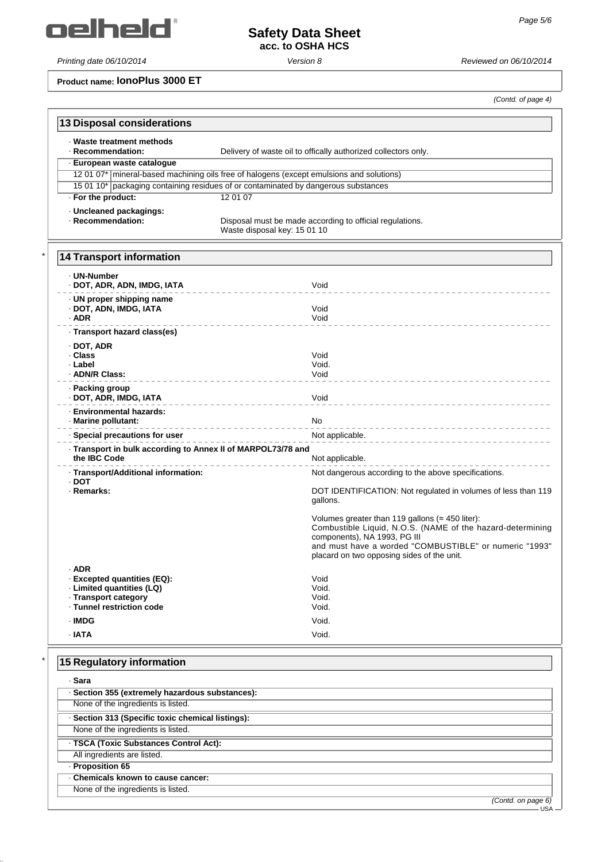oelheld'

# **Safety Data Sheet acc. to OSHA HCS**

*Printing date 06/10/2014 Version 8 Reviewed on 06/10/2014*

**Product name: IonoPlus 3000 ET**

*(Contd. of page 4)*

| · Waste treatment methods<br>· Recommendation:                               | Delivery of waste oil to offically authorized collectors only.                                                                                                                                                                                              |
|------------------------------------------------------------------------------|-------------------------------------------------------------------------------------------------------------------------------------------------------------------------------------------------------------------------------------------------------------|
| · European waste catalogue                                                   |                                                                                                                                                                                                                                                             |
|                                                                              | 12 01 07*   mineral-based machining oils free of halogens (except emulsions and solutions)                                                                                                                                                                  |
|                                                                              | 15 01 10* packaging containing residues of or contaminated by dangerous substances                                                                                                                                                                          |
| · For the product:                                                           | 12 01 07                                                                                                                                                                                                                                                    |
| · Uncleaned packagings:<br>· Recommendation:                                 | Disposal must be made according to official regulations.<br>Waste disposal key: 15 01 10                                                                                                                                                                    |
| <b>14 Transport information</b>                                              |                                                                                                                                                                                                                                                             |
| . UN-Number<br>· DOT, ADR, ADN, IMDG, IATA                                   | Void                                                                                                                                                                                                                                                        |
| · UN proper shipping name<br>· DOT, ADN, IMDG, IATA<br>$·$ ADR               | Void<br>Void                                                                                                                                                                                                                                                |
| · Transport hazard class(es)                                                 |                                                                                                                                                                                                                                                             |
| · DOT, ADR<br>· Class<br>· Label<br>· ADN/R Class:                           | Void<br>Void.<br>Void                                                                                                                                                                                                                                       |
| · Packing group<br>· DOT, ADR, IMDG, IATA                                    | Void                                                                                                                                                                                                                                                        |
| <b>Environmental hazards:</b><br>· Marine pollutant:                         | No                                                                                                                                                                                                                                                          |
| · Special precautions for user                                               | Not applicable.                                                                                                                                                                                                                                             |
| · Transport in bulk according to Annex II of MARPOL73/78 and<br>the IBC Code | Not applicable.                                                                                                                                                                                                                                             |
|                                                                              |                                                                                                                                                                                                                                                             |
| · Transport/Additional information:<br>· DOT<br>· Remarks:                   | Not dangerous according to the above specifications.<br>DOT IDENTIFICATION: Not regulated in volumes of less than 119<br>gallons.<br>Volumes greater than 119 gallons ( $\approx$ 450 liter):<br>Combustible Liquid, N.O.S. (NAME of the hazard-determining |
|                                                                              | components), NA 1993, PG III<br>and must have a worded "COMBUSTIBLE" or numeric "1993"<br>placard on two opposing sides of the unit.                                                                                                                        |
| ADR<br>· Excepted quantities (EQ):                                           | Void                                                                                                                                                                                                                                                        |
| · Limited quantities (LQ)                                                    | Void.                                                                                                                                                                                                                                                       |
| - Transport category<br>· Tunnel restriction code                            | Void.<br>Void.                                                                                                                                                                                                                                              |
| · IMDG                                                                       | Void.                                                                                                                                                                                                                                                       |
| $\cdot$ IATA                                                                 | Void.                                                                                                                                                                                                                                                       |

| . Sara                                            |                    |
|---------------------------------------------------|--------------------|
| · Section 355 (extremely hazardous substances):   |                    |
| None of the ingredients is listed.                |                    |
| · Section 313 (Specific toxic chemical listings): |                    |
| None of the ingredients is listed.                |                    |
| · TSCA (Toxic Substances Control Act):            |                    |
| All ingredients are listed.                       |                    |
| - Proposition 65                                  |                    |
| . Chemicals known to cause cancer:                |                    |
| None of the ingredients is listed.                |                    |
|                                                   | (Contd. on page 6) |
|                                                   | <b>USA</b>         |